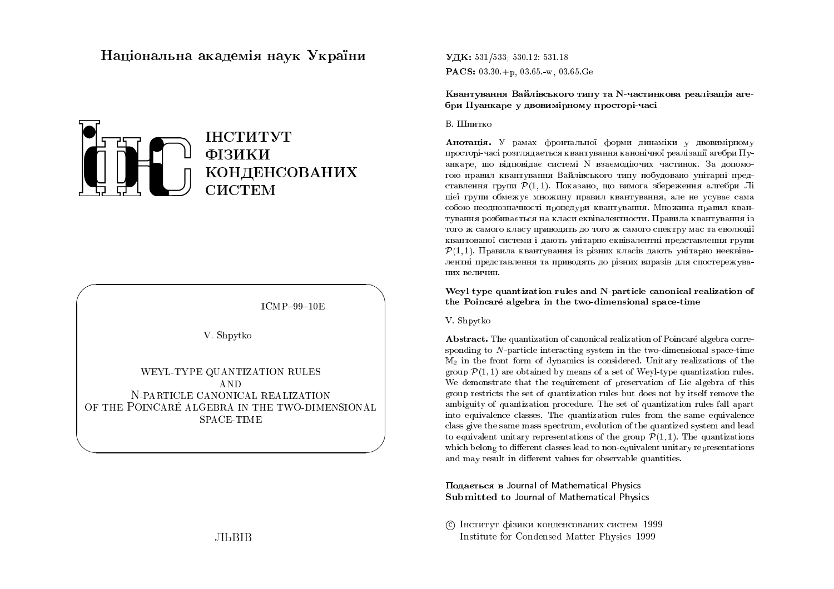# Національна академія наук України



 $ICMP-99-10E$ 

V. Shpytko

WEYL-TYPE QUANTIZATION RULES AND N-PARTICLE CANONICAL REALIZATION OF THE POINCARÉ ALGEBRA IN THE TWO-DIMENSIONAL **SPACE-TIME** 

**ЛЬВІВ** 

УДК: 531/533: 530.12: 531.18 **PACS:**  $03.30 + p$ ,  $03.65 - w$ ,  $03.65$ . Ge

Квантування Вайлівського типу та N-частинкова реалізація агебри Пуанкаре у двовимірному просторі-часі

#### **B. III**питко

**Анотація.** У рамах фронтальної форми динаміки у двовимірному просторі-часі розглялається квантування канонічної реалізації агебри Пуанкаре, що відповідає системі N взаємодіючих частинок. За допомогою правил квантування Вайлівського типу побудовано унітарні представлення групи  $\mathcal{P}(1,1)$ . Показано, що вимога збереження алгебри Лі цієї групи обмежує множину правил квантування, але не усуває сама собою неоднозначності процедури квантування. Множина правил квантування розбивається на класи еквівалентности. Правила квантування із того ж самого класу приводять до того ж самого спектру мас та еволюції квантованої системи і дають унітарно еквівалентні представлення групи  $\mathcal{P}(1,1)$ . Правила квантування із різних класів дають унітарно нееквівалентні представлення та приводять до різних виразів для спостережуваних величин.

Weyl-type quantization rules and N-particle canonical realization of the Poincaré algebra in the two-dimensional space-time

V. Shpytko

**Abstract.** The quantization of canonical realization of Poincaré algebra corresponding to N-particle interacting system in the two-dimensional space-time  $M_2$  in the front form of dynamics is considered. Unitary realizations of the group  $\mathcal{P}(1,1)$  are obtained by means of a set of Weyl-type quantization rules. We demonstrate that the requirement of preservation of Lie algebra of this group restricts the set of quantization rules but does not by itself remove the ambiguity of quantization procedure. The set of quantization rules fall apart into equivalence classes. The quantization rules from the same equivalence class give the same mass spectrum, evolution of the quantized system and lead to equivalent unitary representations of the group  $\mathcal{P}(1,1)$ . The quantizations which belong to different classes lead to non-equivalent unitary representations and may result in different values for observable quantities.

Подається в Journal of Mathematical Physics Submitted to Journal of Mathematical Physics

С Інститут фізики конденсованих систем 1999 Institute for Condensed Matter Physics 1999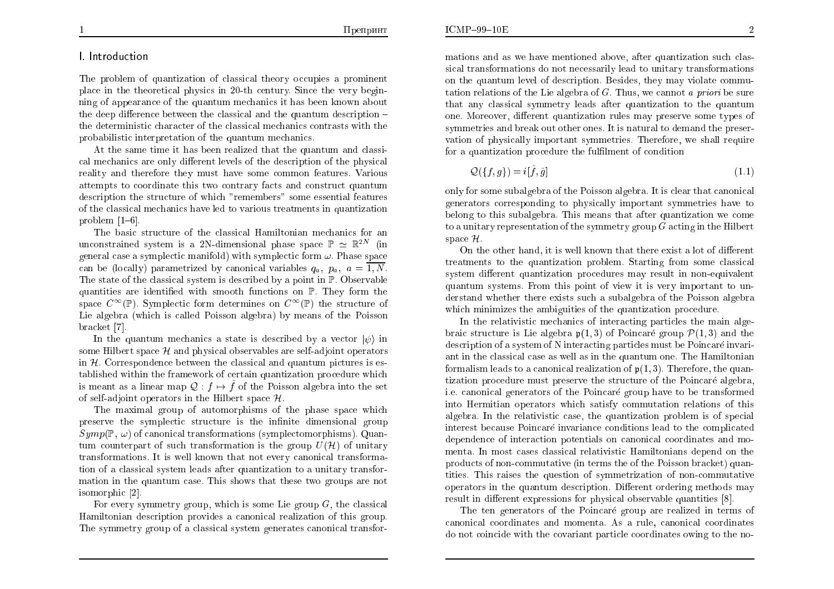## 1. Introduction

The problem of quantization of classical theory occupies a prominent place in the theoretical physics in 20-th century. Since the very beginning of appearance of the quantum mechanics it has been known about the deep difference between the classical and the quantum description  $$ the deterministic character of the classical mechanics contrasts with the probabilistic interpretation of the quantum mechanics.

At the same time it has been realized that the quantum and classical mechanics are only different levels of the description of the physical reality and therefore they must have some common features. Various attempts to coordinate this two contrary facts and construct quantum description the structure of which "remembers" some essential features of the classical mechanics have led to various treatments in quantization problem  $[1-6]$ .

The basic structure of the classical Hamiltonian mechanics for an unconstrained system is a 2N-dimensional phase space  $\mathbb{P} \simeq \mathbb{R}^{2N}$  (in general case a symplectic manifold) with symplectic form  $\omega$ . Phase space can be (locally) parametrized by canonical variables  $q_a$ ,  $p_a$ ,  $a = \overline{1, N}$ . The state of the classical system is described by a point in  $\mathbb{P}$ . Observable quantities are identified with smooth functions on  $\mathbb{P}$ . They form the space  $C^{\infty}(\mathbb{P})$ . Symplectic form determines on  $C^{\infty}(\mathbb{P})$  the structure of Lie algebra (which is called Poisson algebra) by means of the Poisson bracket [7].

In the quantum mechanics a state is described by a vector  $|\psi\rangle$  in some Hilbert space  $\mathcal{H}$  and physical observables are self-adjoint operators in  $H$ . Correspondence between the classical and quantum pictures is established within the framework of certain quantization procedure which is meant as a linear map  $\mathcal{Q}: f \mapsto \hat{f}$  of the Poisson algebra into the set of self-adjoint operators in the Hilbert space  $\mathcal{H}$ .

The maximal group of automorphisms of the phase space which preserve the symplectic structure is the infinite dimensional group  $Symp(\mathbb{P}, \omega)$  of canonical transformations (symplectomorphisms). Quantum counterpart of such transformation is the group  $U(\mathcal{H})$  of unitary transformations. It is well known that not every canonical transformation of a classical system leads after quantization to a unitary transformation in the quantum case. This shows that these two groups are not isomorphic [2].

For every symmetry group, which is some Lie group  $G$ , the classical Hamiltonian description provides a canonical realization of this group. The symmetry group of a classical system generates canonical transformations and as we have mentioned above, after quantization such classical transformations do not necessarily lead to unitary transformations on the quantum level of description. Besides, they may violate commutation relations of the Lie algebra of  $G$ . Thus, we cannot a priori be sure that any classical symmetry leads after quantization to the quantum one. Moreover, different quantization rules may preserve some types of symmetries and break out other ones. It is natural to demand the preservation of physically important symmetries. Therefore, we shall require for a quantization procedure the fulfilment of condition

$$
\mathcal{Q}(\{f,g\}) = i[\hat{f},\hat{g}] \tag{1.1}
$$

only for some subalgebra of the Poisson algebra. It is clear that canonical generators corresponding to physically important symmetries have to belong to this subalgebra. This means that after quantization we come to a unitary representation of the symmetry group  $G$  acting in the Hilbert space  $\mathcal{H}$ .

On the other hand, it is well known that there exist a lot of different treatments to the quantization problem. Starting from some classical system different quantization procedures may result in non-equivalent quantum systems. From this point of view it is very important to understand whether there exists such a subalgebra of the Poisson algebra which minimizes the ambiguities of the quantization procedure.

In the relativistic mechanics of interacting particles the main algebraic structure is Lie algebra  $p(1,3)$  of Poincaré group  $P(1,3)$  and the description of a system of N interacting particles must be Poincaré invariant in the classical case as well as in the quantum one. The Hamiltonian formalism leads to a canonical realization of  $p(1,3)$ . Therefore, the quantization procedure must preserve the structure of the Poincaré algebra. i.e. canonical generators of the Poincaré group have to be transformed into Hermitian operators which satisfy commutation relations of this algebra. In the relativistic case, the quantization problem is of special interest because Poincaré invariance conditions lead to the complicated dependence of interaction potentials on canonical coordinates and momenta. In most cases classical relativistic Hamiltonians depend on the products of non-commutative (in terms the of the Poisson bracket) quantities. This raises the question of symmetrization of non-commutative operators in the quantum description. Different ordering methods may result in different expressions for physical observable quantities [8].

The ten generators of the Poincaré group are realized in terms of canonical coordinates and momenta. As a rule, canonical coordinates do not coincide with the covariant particle coordinates owing to the no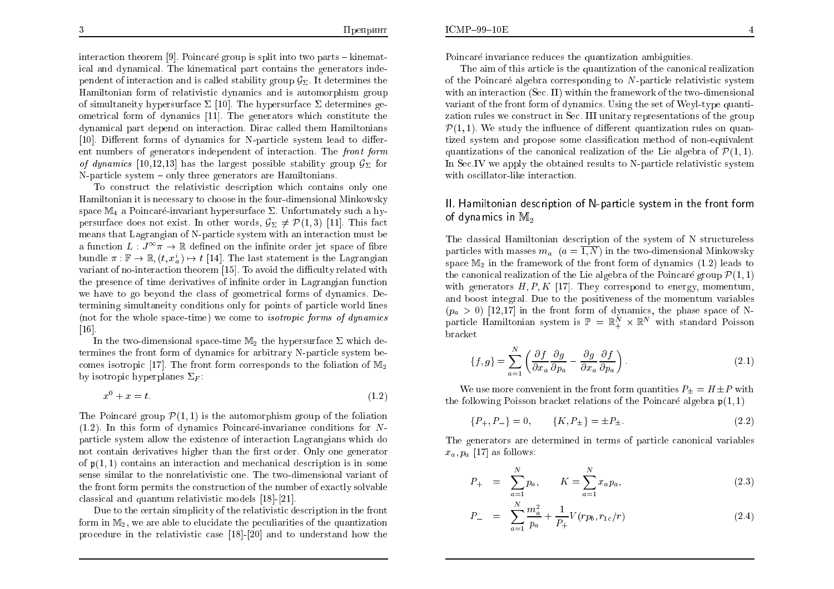interaction theorem [9]. Poincaré group is split into two parts – kinematical and dynamical. The kinematical part contains the generators independent of interaction and is called stability group  $\mathcal{G}_{\Sigma}$ . It determines the Hamiltonian form of relativistic dynamics and is automorphism group of simultaneity hypersurface  $\Sigma$  [10]. The hypersurface  $\Sigma$  determines geometrical form of dynamics [11]. The generators which constitute the dynamical part depend on interaction. Dirac called them Hamiltonians [10]. Different forms of dynamics for N-particle system lead to different numbers of generators independent of interaction. The front form of dynamics [10,12,13] has the largest possible stability group  $\mathcal{G}_{\Sigma}$  for N-particle system  $-\text{ only three generators are Hamiltonians.}$ 

To construct the relativistic description which contains only one Hamiltonian it is necessary to choose in the four-dimensional Minkowsky space  $\mathbb{M}_4$  a Poincaré-invariant hypersurface  $\Sigma$ . Unfortunately such a hypersurface does not exist. In other words,  $\mathcal{G}_{\Sigma} \neq \mathcal{P}(1,3)$  [11]. This fact means that Lagrangian of N-particle system with an interaction must be a function  $L: J^{\infty} \pi \to \mathbb{R}$  defined on the infinite order jet space of fibre bundle  $\pi: \mathbb{F} \to \mathbb{R}$ .  $(t, x_i^i) \mapsto t$  [14]. The last statement is the Lagrangian variant of no-interaction theorem [15]. To avoid the difficulty related with the presence of time derivatives of infinite order in Lagrangian function we have to go beyond the class of geometrical forms of dynamics. Determining simultaneity conditions only for points of particle world lines (not for the whole space-time) we come to *isotropic forms of dynamics*  $[16]$ .

In the two-dimensional space-time  $M_2$  the hypersurface  $\Sigma$  which determines the front form of dynamics for arbitrary N-particle system becomes isotropic [17]. The front form corresponds to the foliation of  $M_2$ by isotropic hyperplanes  $\Sigma_F$ :

$$
x^0 + x = t.\tag{1.2}
$$

The Poincaré group  $\mathcal{P}(1,1)$  is the automorphism group of the foliation  $(1.2)$ . In this form of dynamics Poincaré-invariance conditions for Nparticle system allow the existence of interaction Lagrangians which do not contain derivatives higher than the first order. Only one generator of  $\mathfrak{p}(1,1)$  contains an interaction and mechanical description is in some sense similar to the nonrelativistic one. The two-dimensional variant of the front form permits the construction of the number of exactly solvable classical and quantum relativistic models [18]-[21]

Due to the certain simplicity of the relativistic description in the front form in  $M_2$ , we are able to elucidate the peculiarities of the quantization procedure in the relativistic case [18]-[20] and to understand how the Poincaré invariance reduces the quantization ambiguities.

The aim of this article is the quantization of the canonical realization of the Poincaré algebra corresponding to  $N$ -particle relativistic system with an interaction (Sec. II) within the framework of the two-dimensional variant of the front form of dynamics. Using the set of Weyl-type quantization rules we construct in Sec. III unitary representations of the group  $\mathcal{P}(1,1)$ . We study the influence of different quantization rules on quantized system and propose some classification method of non-equivalent quantizations of the canonical realization of the Lie algebra of  $\mathcal{P}(1,1)$ . In Sec. IV we apply the obtained results to N-particle relativistic system with oscillator-like interaction.

# II. Hamiltonian description of N-particle system in the front form of dynamics in  $M_2$

The classical Hamiltonian description of the system of N structureless particles with masses  $m_a$   $(a = \overline{1, N})$  in the two-dimensional Minkowsky space  $M_2$  in the framework of the front form of dynamics  $(1.2)$  leads to the canonical realization of the Lie algebra of the Poincaré group  $\mathcal{P}(1,1)$ with generators  $H, P, K$  [17]. They correspond to energy, momentum, and boost integral. Due to the positiveness of the momentum variables  $(p_a > 0)$  [12,17] in the front form of dynamics, the phase space of Nparticle Hamiltonian system is  $\mathbb{P} = \mathbb{R}^{N} \times \mathbb{R}^{N}$  with standard Poisson bracket

$$
\{f,g\} = \sum_{a=1}^{N} \left( \frac{\partial f}{\partial x_a} \frac{\partial g}{\partial p_a} - \frac{\partial g}{\partial x_a} \frac{\partial f}{\partial p_a} \right).
$$
 (2.1)

We use more convenient in the front form quantities  $P_+ = H \pm P$  with the following Poisson bracket relations of the Poincaré algebra  $p(1,1)$ 

$$
[P_+, P_-] = 0, \qquad \{K, P_{\pm}\} = \pm P_{\pm}.
$$
 (2.2)

The generators are determined in terms of particle canonical variables  $x_a, p_a$  [17] as follows:

$$
P_{+} = \sum_{a=1}^{N} p_{a}, \qquad K = \sum_{a=1}^{N} x_{a} p_{a}, \qquad (2.3)
$$

$$
P_{-} = \sum_{a=1}^{N} \frac{m_a^2}{p_a} + \frac{1}{P_{+}} V(r p_b, r_{1c}/r)
$$
\n(2.4)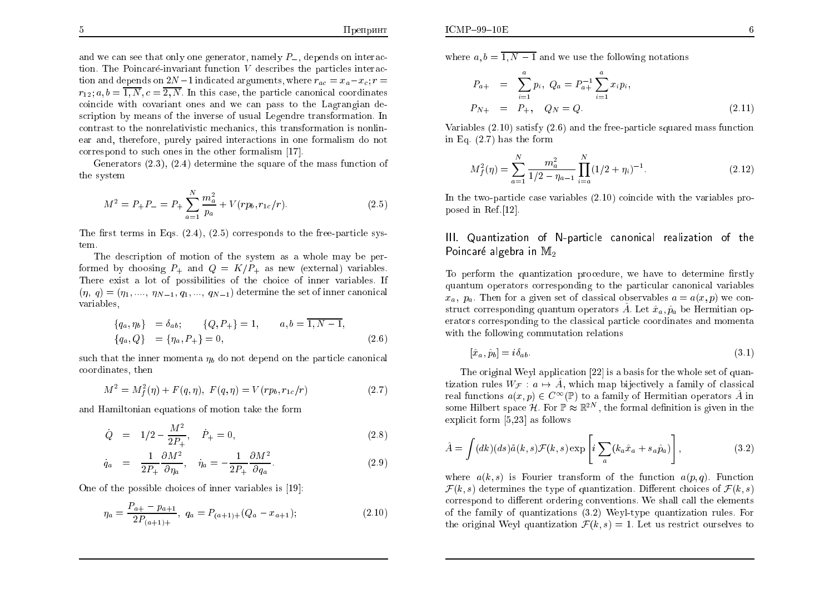and we can see that only one generator, namely  $P_$ , depends on interaction. The Poincaré-invariant function V describes the particles interaction and depends on  $2N-1$  indicated arguments, where  $r_{ac} = x_a - x_c$ ;  $r =$  $r_{12}$ ;  $a, b = \overline{1, N}, c = \overline{2, N}$ . In this case, the particle canonical coordinates coincide with covariant ones and we can pass to the Lagrangian description by means of the inverse of usual Legendre transformation. In contrast to the nonrelativistic mechanics, this transformation is nonlinear and, therefore, purely paired interactions in one formalism do not correspond to such ones in the other formalism [17].

Generators  $(2.3)$ ,  $(2.4)$  determine the square of the mass function of the system

$$
M^{2} = P_{+}P_{-} = P_{+} \sum_{a=1}^{N} \frac{m_{a}^{2}}{p_{a}} + V(r p_{b}, r_{1c}/r).
$$
 (2.5)

The first terms in Eqs.  $(2.4)$ ,  $(2.5)$  corresponds to the free-particle system.

The description of motion of the system as a whole may be performed by choosing  $P_{\perp}$  and  $Q = K/P_{\perp}$  as new (external) variables. There exist a lot of possibilities of the choice of inner variables. If  $(\eta, q) = (\eta_1, ..., \eta_{N-1}, q_1, ..., q_{N-1})$  determine the set of inner canonical variables.

$$
\begin{aligned}\n\{q_a, \eta_b\} &= \delta_{ab}; \\
\{q_a, Q\} &= \{\eta_a, P_+\} = 0, \\
\end{aligned}
$$
\n
$$
(2.6)
$$

such that the inner momenta  $\eta_b$  do not depend on the particle canonical coordinates, then

$$
M^{2} = M_{f}^{2}(\eta) + F(q, \eta), \ F(q, \eta) = V(r p_{b}, r_{1c}/r)
$$
\n(2.7)

and Hamiltonian equations of motion take the form

$$
\dot{Q} = 1/2 - \frac{M^2}{2P_+}, \quad \dot{P}_+ = 0,\tag{2.8}
$$

$$
\dot{q}_a = \frac{1}{2P_+} \frac{\partial M^2}{\partial \eta_a}, \quad \dot{\eta}_a = -\frac{1}{2P_+} \frac{\partial M^2}{\partial q_a}.
$$
\n(2.9)

One of the possible choices of inner variables is [19]:

$$
\eta_a = \frac{P_{a+} - p_{a+1}}{2P_{(a+1)+}}, \quad q_a = P_{(a+1)+}(Q_a - x_{a+1}); \tag{2.10}
$$

where  $a, b = \overline{1, N-1}$  and we use the following notations

$$
P_{a+} = \sum_{i=1}^{a} p_i, \ Q_a = P_{a+}^{-1} \sum_{i=1}^{a} x_i p_i,
$$
  

$$
P_{N+} = P_+, \quad Q_N = Q.
$$
 (2.11)

Variables  $(2.10)$  satisfy  $(2.6)$  and the free-particle squared mass function in Eq.  $(2.7)$  has the form

$$
M_f^2(\eta) = \sum_{a=1}^N \frac{m_a^2}{1/2 - \eta_{a-1}} \prod_{i=a}^N (1/2 + \eta_i)^{-1}.
$$
 (2.12)

In the two-particle case variables  $(2.10)$  coincide with the variables proposed in Ref. [12].

### III. Quantization of N-particle canonical realization of the Poincaré algebra in M<sub>2</sub>

To perform the quantization procedure, we have to determine firstly quantum operators corresponding to the particular canonical variables  $x_a$ ,  $p_a$ . Then for a given set of classical observables  $a = a(x, p)$  we construct corresponding quantum operators  $\hat{A}$ . Let  $\hat{x}_a, \hat{p}_a$  be Hermitian operators corresponding to the classical particle coordinates and momenta with the following commutation relations

$$
[\hat{x}_a, \hat{p}_b] = i\delta_{ab}.\tag{3.1}
$$

The original Weyl application [22] is a basis for the whole set of quantization rules  $W_{\mathcal{F}}: a \mapsto \hat{A}$ , which map bijectively a family of classical real functions  $a(x, p) \in C^{\infty}(\mathbb{P})$  to a family of Hermitian operators  $\hat{A}$  in some Hilbert space  $\mathcal{H}$ . For  $\mathbb{P} \approx \mathbb{R}^{2N}$ , the formal definition is given in the explicit form  $[5,23]$  as follows

$$
\hat{A} = \int (dk)(ds)\tilde{a}(k,s)\mathcal{F}(k,s) \exp\left[i\sum_{a}(k_a\hat{x}_a + s_a\hat{p}_a)\right],
$$
\n(3.2)

where  $a(k, s)$  is Fourier transform of the function  $a(p, q)$ . Function  $\mathcal{F}(k, s)$  determines the type of quantization. Different choices of  $\mathcal{F}(k, s)$ correspond to different ordering conventions. We shall call the elements of the family of quantizations  $(3.2)$  Weyl-type quantization rules. For the original Weyl quantization  $\mathcal{F}(k, s) = 1$ . Let us restrict ourselves to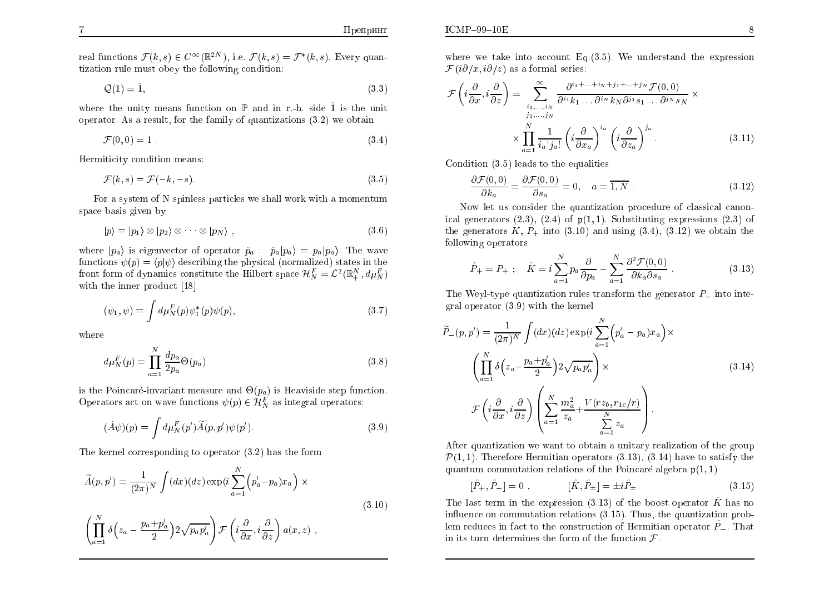real functions  $\mathcal{F}(k, s) \in C^{\infty}(\mathbb{R}^{2N})$ , i.e.  $\mathcal{F}(k, s) = \mathcal{F}^*(k, s)$ . Every quantization rule must obey the following condition:

$$
\mathcal{Q}(1) = \hat{1},\tag{3.3}
$$

where the unity means function on  $\mathbb P$  and in r.-h. side  $\hat{1}$  is the unit operator. As a result, for the family of quantizations  $(3.2)$  we obtain

$$
\mathcal{F}(0,0) = 1 \tag{3.4}
$$

Hermiticity condition means:

$$
\mathcal{F}(k,s) = \mathcal{F}(-k,-s). \tag{3.5}
$$

For a system of N spinless particles we shall work with a momentum space basis given by

$$
|p\rangle = |p_1\rangle \otimes |p_2\rangle \otimes \cdots \otimes |p_N\rangle , \qquad (3.6)
$$

where  $|p_a\rangle$  is eigenvector of operator  $\hat{p}_a$ :  $\hat{p}_a |p_a\rangle = p_a |p_a\rangle$ . The wave functions  $\psi(p) = \langle p | \psi \rangle$  describing the physical (normalized) states in the front form of dynamics constitute the Hilbert space  $\mathcal{H}_N^F = \mathcal{L}^2(\mathbb{R}_+^N, d\mu_N^F)$ with the inner product [18]

$$
(\psi_1, \psi) = \int d\mu_N^F(p) \psi_1^*(p) \psi(p), \qquad (3.7)
$$

where

$$
d\mu_N^F(p) = \prod_{a=1}^N \frac{dp_a}{2p_a} \Theta(p_a)
$$
\n(3.8)

is the Poincaré-invariant measure and  $\Theta(p_a)$  is Heaviside step function. Operators act on wave functions  $\psi(p) \in \mathcal{H}_N^F$  as integral operators:

$$
(\hat{A}\psi)(p) = \int d\mu_N^F(p')\widetilde{A}(p,p')\psi(p'). \tag{3.9}
$$

The kernel corresponding to operator  $(3.2)$  has the form

$$
\widetilde{A}(p, p') = \frac{1}{(2\pi)^N} \int (dx)(dz) \exp\left(i \sum_{a=1}^N \left(p'_a - p_a\right) x_a\right) \times \tag{3.10}
$$

$$
\left(\prod_{a=1}^N \delta\left(z_a - \frac{p_a + p'_a}{2}\right) 2\sqrt{p_a p'_a}\right) \mathcal{F}\left(i\frac{\partial}{\partial x}, i\frac{\partial}{\partial z}\right) a(x, z) ,
$$

where we take into account Eq.  $(3.5)$ . We understand the expression  $\mathcal{F}(i\partial/x, i\partial/z)$  as a formal series:

$$
\mathcal{F}\left(i\frac{\partial}{\partial x}, i\frac{\partial}{\partial z}\right) = \sum_{\substack{i_1,\dots,i_N \\ j_1,\dots,j_N}}^{\infty} \frac{\partial^{i_1 + \dots + i_N + j_1 + \dots + j_N} \mathcal{F}(0,0)}{\partial^{i_1} k_1 \dots \partial^{i_N} k_N \partial^{j_1} s_1 \dots \partial^{j_N} s_N} \times \left(\frac{\partial}{\partial x_{i_1}^2} \frac{\partial}{\partial x_{i_2}^2}\right)^{i_1} \left(i\frac{\partial}{\partial x_{i_1}^2}\right)^{i_2} \left(i\frac{\partial}{\partial x_{i_2}^2}\right)^{j_3} .
$$
\n(3.11)

Condition  $(3.5)$  leads to the equalities

$$
\frac{\partial \mathcal{F}(0,0)}{\partial k_a} = \frac{\partial \mathcal{F}(0,0)}{\partial s_a} = 0, \quad a = \overline{1,N} \tag{3.12}
$$

Now let us consider the quantization procedure of classical canonical generators  $(2.3)$ ,  $(2.4)$  of  $\mathfrak{p}(1,1)$ . Substituting expressions  $(2.3)$  of the generators K,  $P_+$  into (3.10) and using (3.4), (3.12) we obtain the following operators

$$
\hat{P}_{+} = P_{+} \; ; \quad \hat{K} = i \sum_{a=1}^{N} p_a \frac{\partial}{\partial p_a} - \sum_{a=1}^{N} \frac{\partial^2 \mathcal{F}(0,0)}{\partial k_a \partial s_a} \; . \tag{3.13}
$$

The Weyl-type quantization rules transform the generator  $P_-\$  into integral operator  $(3.9)$  with the kernel

$$
\widetilde{P}_{-}(p, p') = \frac{1}{(2\pi)^{N}} \int (dx)(dz) \exp\left(i \sum_{a=1}^{N} \left(p'_{a} - p_{a}\right)x_{a}\right) \times \left(\prod_{a=1}^{N} \delta\left(z_{a} - \frac{p_{a} + p'_{a}}{2}\right) 2\sqrt{p_{a}p'_{a}}\right) \times \mathcal{F}\left(i \frac{\partial}{\partial x}, i \frac{\partial}{\partial z}\right) \left(\sum_{a=1}^{N} \frac{m_{a}^{2}}{z_{a}} + \frac{V(rz_{b}, r_{1c}/r)}{\sum_{a=1}^{N} z_{a}}\right).
$$
\n(3.14)

After quantization we want to obtain a unitary realization of the group  $\mathcal{P}(1,1)$ . Therefore Hermitian operators (3.13), (3.14) have to satisfy the quantum commutation relations of the Poincaré algebra  $p(1, 1)$ 

$$
[\hat{P}_{+}, \hat{P}_{-}] = 0 , \qquad [\hat{K}, \hat{P}_{\pm}] = \pm i \hat{P}_{\pm} . \qquad (3.15)
$$

The last term in the expression (3.13) of the boost operator  $\hat{K}$  has no influence on commutation relations (3.15). Thus, the quantization problem reduces in fact to the construction of Hermitian operator  $\tilde{P}_-$ . That in its turn determines the form of the function  $\mathcal{F}$ .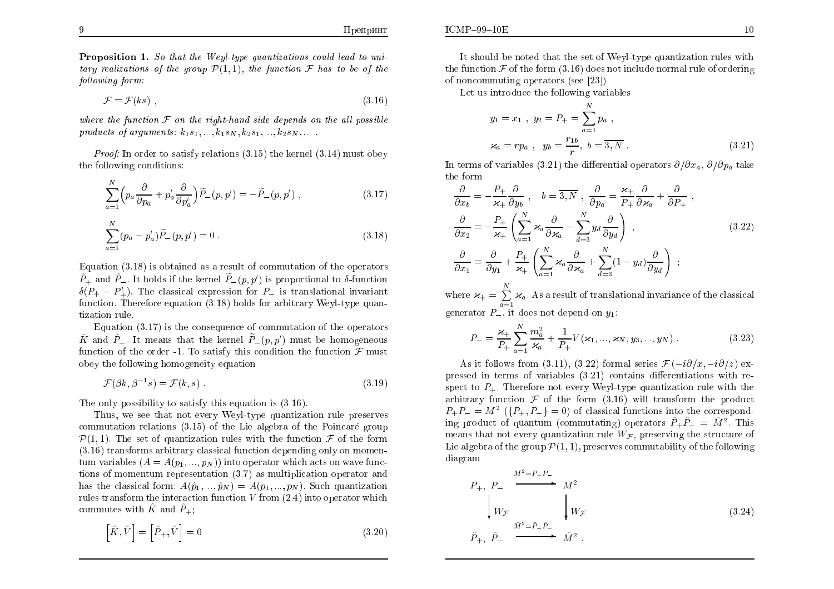$ICMP-99-10E$ 

**Proposition 1.** So that the Weyl-type quantizations could lead to unitary realizations of the group  $\mathcal{P}(1,1)$ , the function  $\mathcal F$  has to be of the following form:

$$
\mathcal{F} = \mathcal{F}(ks) \tag{3.16}
$$

where the function  $\mathcal F$  on the right-hand side depends on the all possible products of arguments:  $k_1s_1,\ldots,k_1s_N, k_2s_1,\ldots,k_2s_N,\ldots$ 

*Proof:* In order to satisfy relations  $(3.15)$  the kernel  $(3.14)$  must obey the following conditions:

$$
\sum_{a=1}^{N} \left( p_a \frac{\partial}{\partial p_a} + p'_a \frac{\partial}{\partial p'_a} \right) \widetilde{P}_-(p, p') = -\widetilde{P}_-(p, p') , \qquad (3.17)
$$

$$
\sum_{a=1}^{N} (p_a - p'_a) \widetilde{P}_-(p, p') = 0.
$$
\n(3.18)

Equation  $(3.18)$  is obtained as a result of commutation of the operators  $\hat{P}_+$  and  $\hat{P}_-$ . It holds if the kernel  $\tilde{P}_-(p, p')$  is proportional to  $\delta$ -function  $\delta(P_+ - P_+')$ . The classical expression for  $P_-$  is translational invariant function. Therefore equation  $(3.18)$  holds for arbitrary Weyl-type quantization rule.

Equation  $(3.17)$  is the consequence of commutation of the operators  $\hat{K}$  and  $\hat{P}_-$ . It means that the kernel  $\tilde{P}_-(p,p')$  must be homogeneous function of the order -1. To satisfy this condition the function  $\mathcal F$  must obey the following homogeneity equation

$$
\mathcal{F}(\beta k, \beta^{-1} s) = \mathcal{F}(k, s) \tag{3.19}
$$

The only possibility to satisfy this equation is  $(3.16)$ .

Thus, we see that not every Weyl-type quantization rule preserves commutation relations  $(3.15)$  of the Lie algebra of the Poincaré group  $\mathcal{P}(1,1)$ . The set of quantization rules with the function  $\mathcal F$  of the form  $(3.16)$  transforms arbitrary classical function depending only on momentum variables  $(A = A(p_1, ..., p_N))$  into operator which acts on wave functions of momentum representation  $(3.7)$  as multiplication operator and has the classical form:  $A(\hat{p}_1,...,\hat{p}_N) = A(p_1,...,p_N)$ . Such quantization rules transform the interaction function  $V$  from  $(2.4)$  into operator which commutes with  $\hat{K}$  and  $\hat{P}_{+}$ ;

$$
\left[\hat{K}, \hat{V}\right] = \left[\hat{P}_+, \hat{V}\right] = 0\tag{3.20}
$$

the function  $\mathcal F$  of the form (3.16) does not include normal rule of ordering of noncommuting operators (see [23]).

Let us introduce the following variables

$$
y_1 = x_1, \ y_2 = P_+ = \sum_{a=1}^{N} p_a,
$$
  

$$
\varkappa_a = rp_a, \ y_b = \frac{r_{1b}}{r}, \ b = \overline{3, N}.
$$
 (3.21)

In terms of variables (3.21) the differential operators  $\partial/\partial x_a$ ,  $\partial/\partial p_a$  take the form

$$
\frac{\partial}{\partial x_b} = -\frac{P_+}{\varkappa_+} \frac{\partial}{\partial y_b}, \quad b = \overline{3, N}, \quad \frac{\partial}{\partial p_a} = \frac{\varkappa_+}{P_+} \frac{\partial}{\partial \varkappa_a} + \frac{\partial}{\partial P_+},
$$

$$
\frac{\partial}{\partial x_2} = -\frac{P_+}{\varkappa_+} \left( \sum_{a=1}^N \varkappa_a \frac{\partial}{\partial \varkappa_a} - \sum_{d=3}^N y_d \frac{\partial}{\partial y_d} \right),
$$

$$
\frac{\partial}{\partial x_1} = \frac{\partial}{\partial y_1} + \frac{P_+}{\varkappa_+} \left( \sum_{a=1}^N \varkappa_a \frac{\partial}{\partial \varkappa_a} + \sum_{d=3}^N (1 - y_d) \frac{\partial}{\partial y_d} \right);
$$

$$
(3.22)
$$

where  $\varkappa_+ = \sum_{n=1}^{N} \varkappa_n$ . As a result of translational invariance of the classical generator  $P_{-}$ , it does not depend on  $y_1$ .

$$
P_{-} = \frac{\varkappa_{+}}{P_{+}} \sum_{a=1}^{N} \frac{m_a^2}{\varkappa_a} + \frac{1}{P_{+}} V(\varkappa_1, ..., \varkappa_N, y_3, ..., y_N) \tag{3.23}
$$

As it follows from (3.11), (3.22) formal series  $\mathcal{F}(-i\partial/x, -i\partial/z)$  expressed in terms of variables  $(3.21)$  contains differentiations with respect to  $P_{+}$ . Therefore not every Weyl-type quantization rule with the arbitrary function  $\mathcal F$  of the form (3.16) will transform the product  $P_{+}P_{-}=M^{2}(\lbrace P_{+}, P_{-}\rbrace = 0)$  of classical functions into the corresponding product of quantum (commutating) operators  $\hat{P}_+ \hat{P}_- = \hat{M}^2$ . This means that not every quantization rule  $W_{\mathcal{F}}$ , preserving the structure of Lie algebra of the group  $\mathcal{P}(1,1)$ , preserves commutability of the following diagram

$$
P_{+}, P_{-} \xrightarrow{M^{2}=P_{+}P_{-}} M^{2}
$$
\n
$$
\downarrow W_{\mathcal{F}} \qquad \downarrow W_{\mathcal{F}}
$$
\n
$$
\hat{P}_{+}, \hat{P}_{-} \xrightarrow{\hat{M}^{2}=\hat{P}_{+}\hat{P}_{-}} \hat{M}^{2}.
$$
\n(3.24)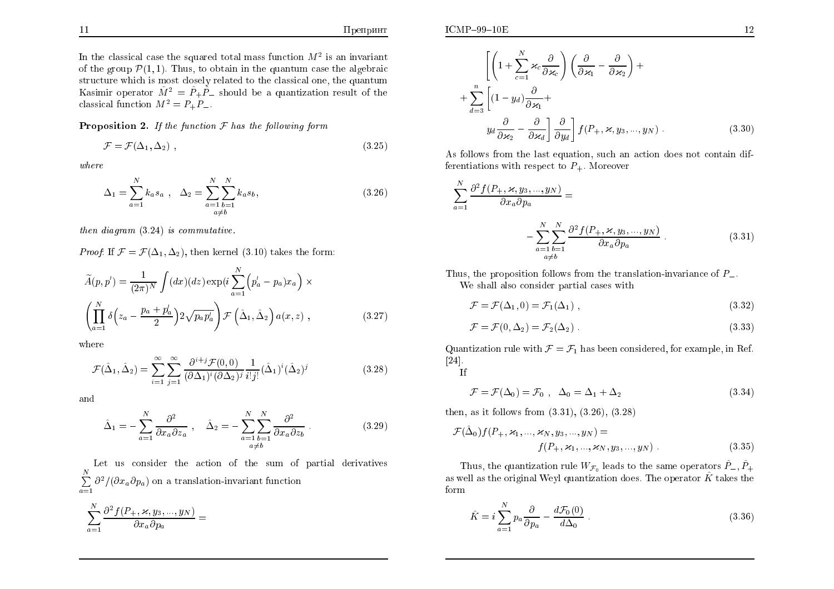e z

In the classical case the squared total mass function  $M^2$  is an invariant of the group  $\mathcal{P}(1,1)$ . Thus, to obtain in the quantum case the algebraic structure which is most closely related to the classical one, the quantum Kasimir operator  $\hat{M}^2 = \hat{P}_+ \hat{P}_-$  should be a quantization result of the classical function  $M^2 = P_+ P_-$ .

**Proposition 2.** If the function  $F$  has the following form

$$
\mathcal{F} = \mathcal{F}(\Delta_1, \Delta_2) \tag{3.25}
$$

 $where$ 

$$
\Delta_1 = \sum_{a=1}^{N} k_a s_a , \quad \Delta_2 = \sum_{\substack{a=1 \ b=1}}^{N} \sum_{\substack{b=1 \ a \neq b}}^{N} k_a s_b,
$$
\n(3.26)

then diagram  $(3.24)$  is commutative.

*Proof*: If  $\mathcal{F} = \mathcal{F}(\Delta_1, \Delta_2)$ , then kernel (3.10) takes the form:

$$
\widetilde{A}(p, p') = \frac{1}{(2\pi)^N} \int (dx) (dz) \exp\left(i \sum_{a=1}^N \left(p'_a - p_a\right) x_a\right) \times \left(\prod_{a=1}^N \delta\left(z_a - \frac{p_a + p'_a}{2}\right) 2\sqrt{p_a p'_a}\right) \mathcal{F}\left(\hat{\Delta}_1, \hat{\Delta}_2\right) a(x, z) ,\qquad (3.27)
$$

where

$$
\mathcal{F}(\hat{\Delta}_1, \hat{\Delta}_2) = \sum_{i=1}^{\infty} \sum_{j=1}^{\infty} \frac{\partial^{i+j} \mathcal{F}(0,0)}{(\partial \Delta_1)^i (\partial \Delta_2)^j} \frac{1}{i!j!} (\hat{\Delta}_1)^i (\hat{\Delta}_2)^j
$$
(3.28)

and

$$
\hat{\Delta}_1 = -\sum_{a=1}^N \frac{\partial^2}{\partial x_a \partial z_a} , \quad \hat{\Delta}_2 = -\sum_{\substack{a=1 \ b=1}}^N \frac{\partial^2}{\partial x_a \partial z_b} . \tag{3.29}
$$

Let us consider the action of the sum of partial derivatives  $\sum_{a=1}^{N} \frac{\partial^2}{\partial x_a \partial p_a}$  on a translation-invariant function

$$
\sum_{a=1}^N \frac{\partial^2 f(P_+, \varkappa, y_3, ..., y_N)}{\partial x_a \partial p_a} =
$$

$$
\left[ \left( 1 + \sum_{c=1}^{N} \varkappa_c \frac{\partial}{\partial \varkappa_c} \right) \left( \frac{\partial}{\partial \varkappa_1} - \frac{\partial}{\partial \varkappa_2} \right) + \right.
$$
  
+ 
$$
\sum_{d=3}^{n} \left[ (1 - y_d) \frac{\partial}{\partial \varkappa_1} + \frac{\partial}{\partial \varkappa_d} \right] \frac{\partial}{\partial y_d} \left[ f(P_+, \varkappa, y_3, ..., y_N) \right].
$$
 (3.30)

As follows from the last equation, such an action does not contain differentiations with respect to  $P_{+}$ . Moreover

$$
\sum_{a=1}^{N} \frac{\partial^2 f(P_+, \varkappa, y_3, ..., y_N)}{\partial x_a \partial p_a} = \n- \sum_{\substack{a=1 \ b=1}}^{N} \frac{\partial^2 f(P_+, \varkappa, y_3, ..., y_N)}{\partial x_a \partial p_a} .
$$
\n(3.31)

Thus, the proposition follows from the translation-invariance of  $P_{-}$ . We shall also consider partial cases with

$$
\mathcal{F} = \mathcal{F}(\Delta_1, 0) = \mathcal{F}_1(\Delta_1) \tag{3.32}
$$

$$
\mathcal{F} = \mathcal{F}(0, \Delta_2) = \mathcal{F}_2(\Delta_2) \tag{3.33}
$$

Quantization rule with  $\mathcal{F} = \mathcal{F}_1$  has been considered, for example, in Ref.  $\left[24\right]$ .

 $\mathbf{H}$ 

$$
\mathcal{F} = \mathcal{F}(\Delta_0) = \mathcal{F}_0 , \quad \Delta_0 = \Delta_1 + \Delta_2 \tag{3.34}
$$

then, as it follows from  $(3.31)$ ,  $(3.26)$ ,  $(3.28)$ 

$$
\mathcal{F}(\hat{\Delta}_0) f(P_+, \varkappa_1, ..., \varkappa_N, y_3, ..., y_N) = \n f(P_+, \varkappa_1, ..., \varkappa_N, y_3, ..., y_N) .
$$
\n(3.35)

Thus, the quantization rule  $W_{\mathcal{F}_0}$  leads to the same operators  $\hat{P}_-, \hat{P}_+$ as well as the original Weyl quantization does. The operator  $\hat{K}$  takes the form

$$
\hat{K} = i \sum_{a=1}^{N} p_a \frac{\partial}{\partial p_a} - \frac{d\mathcal{F}_0(0)}{d\Delta_0} \ . \tag{3.36}
$$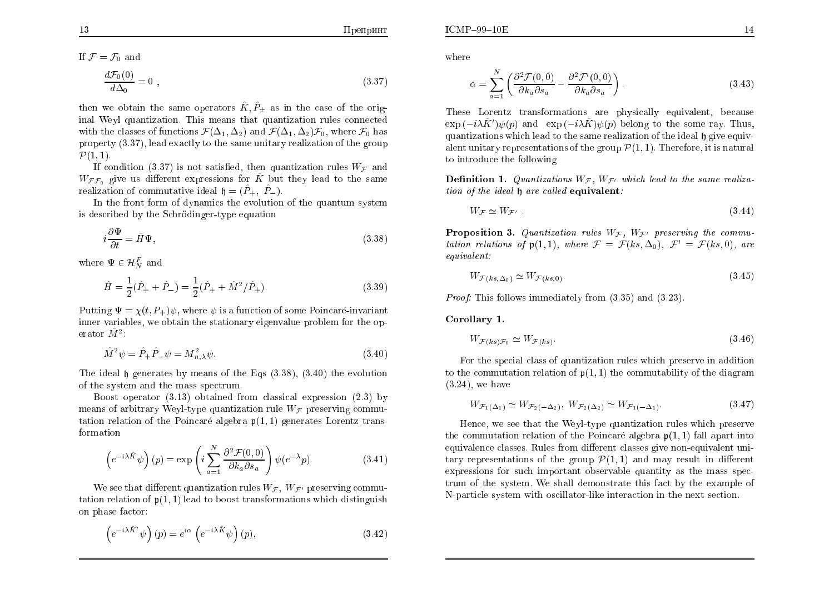$ICMP-99-10E$ 

If  $\mathcal{F} = \mathcal{F}_0$  and

$$
\frac{d\mathcal{F}_0(0)}{d\Delta_0} = 0 \tag{3.37}
$$

then we obtain the same operators  $\hat{K}, \hat{P}_+$  as in the case of the original Weyl quantization. This means that quantization rules connected with the classes of functions  $\mathcal{F}(\Delta_1, \Delta_2)$  and  $\mathcal{F}(\Delta_1, \Delta_2)\mathcal{F}_0$ , where  $\mathcal{F}_0$  has property  $(3.37)$ , lead exactly to the same unitary realization of the group  $\mathcal{P}(1,1)$ .

If condition (3.37) is not satisfied, then quantization rules  $W_{\mathcal{F}}$  and  $W_{\mathcal{F}\mathcal{F}_0}$  give us different expressions for K but they lead to the same realization of commutative ideal  $\mathfrak{h} = (\hat{P}_+, \hat{P}_-)$ .

In the front form of dynamics the evolution of the quantum system is described by the Schrödinger-type equation

$$
i\frac{\partial \Psi}{\partial t} = \hat{H}\Psi,\tag{3.38}
$$

where  $\Psi \in \mathcal{H}_N^F$  and

$$
\hat{H} = \frac{1}{2}(\hat{P}_{+} + \hat{P}_{-}) = \frac{1}{2}(\hat{P}_{+} + \hat{M}^{2}/\hat{P}_{+}).
$$
\n(3.39)

Putting  $\Psi = \chi(t, P_+) \psi$ , where  $\psi$  is a function of some Poincaré-invariant inner variables, we obtain the stationary eigenvalue problem for the operator  $\hat{M}^2$ :

$$
\hat{M}^2 \psi = \hat{P}_+ \hat{P}_- \psi = M_{n,\lambda}^2 \psi.
$$
\n(3.40)

The ideal  $\mathfrak h$  generates by means of the Eqs  $(3.38)$ ,  $(3.40)$  the evolution of the system and the mass spectrum.

Boost operator  $(3.13)$  obtained from classical expression  $(2.3)$  by means of arbitrary Weyl-type quantization rule  $W_{\mathcal{F}}$  preserving commutation relation of the Poincaré algebra  $p(1,1)$  generates Lorentz transformation

$$
\left(e^{-i\lambda \hat{K}}\psi\right)(p) = \exp\left(i\sum_{a=1}^{N} \frac{\partial^2 \mathcal{F}(0,0)}{\partial k_a \partial s_a}\right)\psi(e^{-\lambda}p).
$$
 (3.41)

We see that different quantization rules  $W_{\mathcal{F}}$ ,  $W_{\mathcal{F}}$  preserving commutation relation of  $p(1,1)$  lead to boost transformations which distinguish on phase factor:

$$
\left(e^{-i\lambda \hat{K}'}\psi\right)(p) = e^{i\alpha} \left(e^{-i\lambda \hat{K}}\psi\right)(p),\tag{3.42}
$$

where

$$
\alpha = \sum_{a=1}^{N} \left( \frac{\partial^2 \mathcal{F}(0,0)}{\partial k_a \partial s_a} - \frac{\partial^2 \mathcal{F}'(0,0)}{\partial k_a \partial s_a} \right).
$$
 (3.43)

These Lorentz transformations are physically equivalent, because  $\exp(-i\lambda \hat{K}')\psi(p)$  and  $\exp(-i\lambda \hat{K})\psi(p)$  belong to the some ray. Thus, quantizations which lead to the same realization of the ideal h give equivalent unitary representations of the group  $\mathcal{P}(1,1)$ . Therefore, it is natural to introduce the following

**Definition 1.** Quantizations  $W_{\mathcal{F}}$ ,  $W_{\mathcal{F}'}$  which lead to the same realization of the ideal h are called equivalent:

$$
W_{\mathcal{F}} \simeq W_{\mathcal{F}'} \tag{3.44}
$$

**Proposition 3.** Quantization rules  $W_{\mathcal{F}}$ ,  $W_{\mathcal{F}'}$  preserving the commutation relations of  $\mathfrak{p}(1,1)$ , where  $\mathcal{F} = \mathcal{F}(ks, \Delta_0)$ ,  $\mathcal{F}' = \mathcal{F}(ks,0)$ , are  $equivalent:$ 

$$
W_{\mathcal{F}(ks,\Delta_0)} \simeq W_{\mathcal{F}(ks,0)}.\tag{3.45}
$$

*Proof:* This follows immediately from (3.35) and (3.23).

Corollary 1.

$$
W_{\mathcal{F}(ks)\mathcal{F}_0} \simeq W_{\mathcal{F}(ks)}.\tag{3.46}
$$

For the special class of quantization rules which preserve in addition to the commutation relation of  $p(1,1)$  the commutability of the diagram  $(3.24)$ , we have

$$
W_{\mathcal{F}_1(\Delta_1)} \simeq W_{\mathcal{F}_2(-\Delta_2)}, \ W_{\mathcal{F}_2(\Delta_2)} \simeq W_{\mathcal{F}_1(-\Delta_1)}.\tag{3.47}
$$

Hence, we see that the Weyl-type quantization rules which preserve the commutation relation of the Poincaré algebra  $p(1,1)$  fall apart into equivalence classes. Rules from different classes give non-equivalent unitary representations of the group  $\mathcal{P}(1,1)$  and may result in different expressions for such important observable quantity as the mass spectrum of the system. We shall demonstrate this fact by the example of N-particle system with oscillator-like interaction in the next section.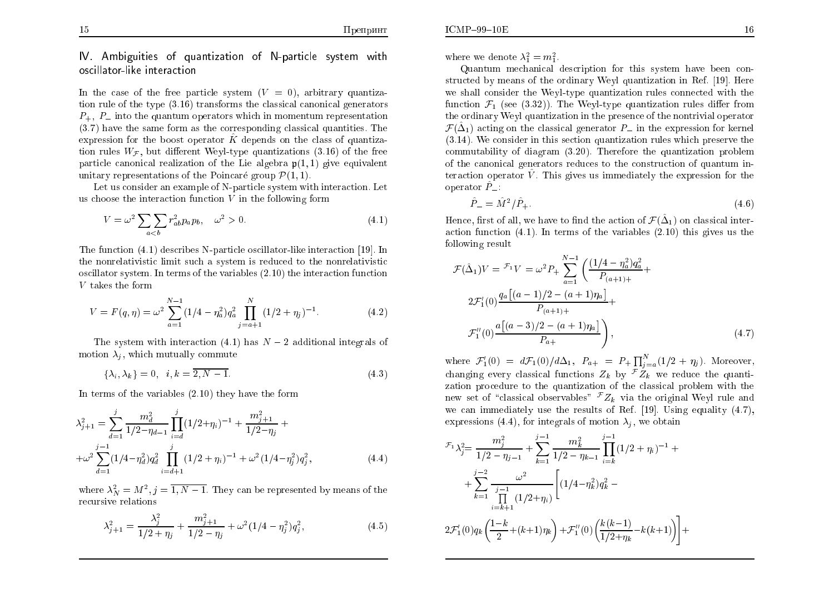$ICMP-99-10E$ 

IV. Ambiguities of quantization of N-particle system with oscillator-like interaction

In the case of the free particle system  $(V = 0)$ , arbitrary quantization rule of the type  $(3.16)$  transforms the classical canonical generators  $P_+$ ,  $P_-$  into the quantum operators which in momentum representation  $(3.7)$  have the same form as the corresponding classical quantities. The expression for the boost operator  $\hat{K}$  depends on the class of quantization rules  $W_{\mathcal{F}}$ , but different Weyl-type quantizations (3.16) of the free particle canonical realization of the Lie algebra  $p(1,1)$  give equivalent unitary representations of the Poincaré group  $\mathcal{P}(1,1)$ .

Let us consider an example of N-particle system with interaction. Let us choose the interaction function  $V$  in the following form

$$
V = \omega^2 \sum_{a < b} \sum_{b} r_{ab}^2 p_a p_b, \quad \omega^2 > 0. \tag{4.1}
$$

The function (4.1) describes N-particle oscillator-like interaction [19]. In the nonrelativistic limit such a system is reduced to the nonrelativistic oscillator system. In terms of the variables  $(2.10)$  the interaction function  $V$  takes the form

$$
V = F(q, \eta) = \omega^2 \sum_{a=1}^{N-1} (1/4 - \eta_a^2) q_a^2 \prod_{j=a+1}^{N} (1/2 + \eta_j)^{-1}.
$$
 (4.2)

The system with interaction (4.1) has  $N-2$  additional integrals of motion  $\lambda_i$ , which mutually commute

$$
\{\lambda_i, \lambda_k\} = 0, \quad i, k = \overline{2, N - 1}.
$$
\n(4.3)

In terms of the variables  $(2.10)$  they have the form

$$
\lambda_{j+1}^2 = \sum_{d=1}^j \frac{m_d^2}{1/2 - \eta_{d-1}} \prod_{i=d}^j (1/2 + \eta_i)^{-1} + \frac{m_{j+1}^2}{1/2 - \eta_j} + \newline + \omega^2 \sum_{d=1}^{j-1} (1/4 - \eta_d^2) q_d^2 \prod_{i=d+1}^j (1/2 + \eta_i)^{-1} + \omega^2 (1/4 - \eta_j^2) q_j^2,
$$
\n(4.4)

where  $\lambda_N^2 = M^2$ ,  $j = \overline{1, N-1}$ . They can be represented by means of the recursive relations

$$
\lambda_{j+1}^2 = \frac{\lambda_j^2}{1/2 + \eta_j} + \frac{m_{j+1}^2}{1/2 - \eta_j} + \omega^2 (1/4 - \eta_j^2) q_j^2,
$$
\n(4.5)

where we denote  $\lambda_1^2 = m_1^2$ .

Quantum mechanical description for this system have been constructed by means of the ordinary Weyl quantization in Ref. [19]. Here we shall consider the Weyl-type quantization rules connected with the function  $\mathcal{F}_1$  (see (3.32)). The Weyl-type quantization rules differ from the ordinary Weyl quantization in the presence of the nontrivial operator  $\mathcal{F}(\hat{\Delta}_1)$  acting on the classical generator  $P_-$  in the expression for kernel  $(3.14)$ . We consider in this section quantization rules which preserve the commutability of diagram  $(3.20)$ . Therefore the quantization problem of the canonical generators reduces to the construction of quantum interaction operator  $\hat{V}$ . This gives us immediately the expression for the operator  $P_{-}$ :

$$
\hat{P}_{-} = \hat{M}^{2} / \hat{P}_{+}.
$$
\n(4.6)

Hence, first of all, we have to find the action of  $\mathcal{F}(\hat{\Delta}_1)$  on classical interaction function  $(4.1)$ . In terms of the variables  $(2.10)$  this gives us the following result

$$
\mathcal{F}(\hat{\Delta}_1)V = \frac{\mathcal{F}_1V}{V} = \omega^2 P_+ \sum_{a=1}^{N-1} \left( \frac{(1/4 - \eta_a^2)q_a^2}{P_{(a+1)+}} + 2\mathcal{F}_1'(0)\frac{q_a[(a-1)/2 - (a+1)\eta_a]}{P_{(a+1)+}} + \frac{\mathcal{F}_1''(0)\frac{a[(a-3)/2 - (a+1)\eta_a]}{P_{a+}}}{P_{a+}} \right),
$$
\n(4.7)

where  $\mathcal{F}'_1(0) = d\mathcal{F}_1(0)/d\Delta_1$ ,  $P_{a+} = P_+ \prod_{j=a}^N (1/2 + \eta_j)$ . Moreover, changing every classical functions  $Z_k$  by  $\overline{Z}_k$  we reduce the quantization procedure to the quantization of the classical problem with the new set of "classical observables"  ${}^{\mathcal{F}}Z_k$  via the original Weyl rule and we can immediately use the results of Ref. [19]. Using equality  $(4.7)$ , expressions (4.4), for integrals of motion  $\lambda_i$ , we obtain

$$
\mathcal{F}_{1} \lambda_{j}^{2} = \frac{m_{j}^{2}}{1/2 - \eta_{j-1}} + \sum_{k=1}^{j-1} \frac{m_{k}^{2}}{1/2 - \eta_{k-1}} \prod_{i=k}^{j-1} (1/2 + \eta_{i})^{-1} +
$$
  
+ 
$$
\sum_{k=1}^{j-2} \frac{\omega^{2}}{\prod_{i=k+1}^{j-1} (1/2 + \eta_{i})} \left[ (1/4 - \eta_{k}^{2}) q_{k}^{2} -
$$
  

$$
2 \mathcal{F}_{1}'(0) q_{k} \left( \frac{1-k}{2} + (k+1)\eta_{k} \right) + \mathcal{F}_{1}''(0) \left( \frac{k(k-1)}{1/2 + \eta_{k}} - k(k+1) \right) \right] +
$$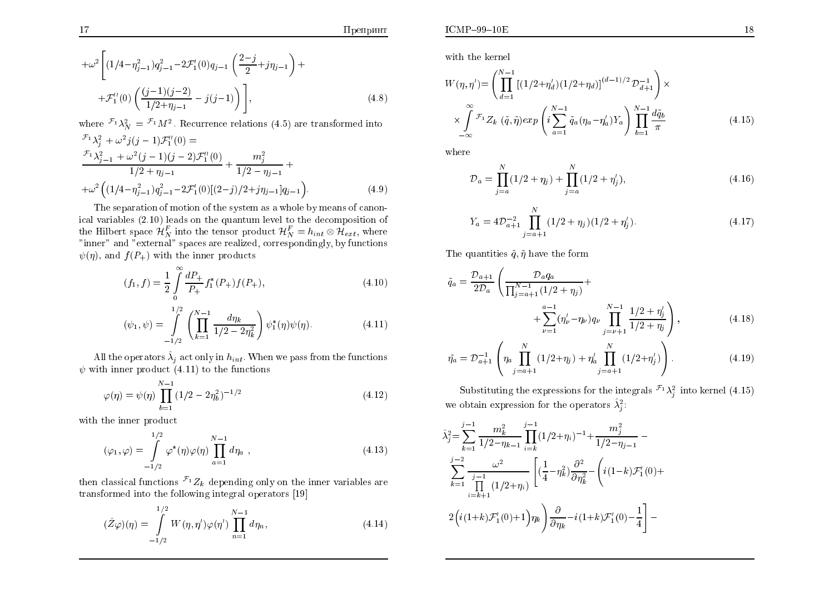$$
+\omega^2 \left[ (1/4 - \eta_{j-1}^2) q_{j-1}^2 - 2\mathcal{F}_1'(0) q_{j-1} \left( \frac{2-j}{2} + j \eta_{j-1} \right) + + \mathcal{F}_1''(0) \left( \frac{(j-1)(j-2)}{1/2 + \eta_{j-1}} - j(j-1) \right) \right],
$$
 (4.8)

<u> 1980 - John Barnett, fransk politiker (d. 1980)</u>

where  $\mathcal{F}_1 \lambda_N^2 = \mathcal{F}_1 M^2$ . Recurrence relations (4.5) are transformed into

$$
\mathcal{F}_1 \lambda_j^2 + \omega^2 j(j-1) \mathcal{F}_1''(0) =
$$
\n
$$
\frac{\mathcal{F}_1 \lambda_{j-1}^2 + \omega^2 (j-1)(j-2) \mathcal{F}_1''(0)}{1/2 + \eta_{j-1}} + \frac{m_j^2}{1/2 - \eta_{j-1}} +
$$
\n
$$
+ \omega^2 \Big( (1/4 - \eta_{j-1}^2) q_{j-1}^2 - 2 \mathcal{F}_1'(0) [(2-j)/2 + j\eta_{j-1}] q_{j-1} \Big).
$$
\n(4.9)

The separation of motion of the system as a whole by means of canonical variables  $(2.10)$  leads on the quantum level to the decomposition of the Hilbert space  $\mathcal{H}_N^F$  into the tensor product  $\mathcal{H}_N^F = h_{int} \otimes \mathcal{H}_{ext}$ , where "inner" and "external" spaces are realized, correspondingly, by functions  $\psi(\eta)$ , and  $f(P_+)$  with the inner products

$$
(f_1, f) = \frac{1}{2} \int_{0}^{\infty} \frac{dP_+}{P_+} f_1^*(P_+) f(P_+), \tag{4.10}
$$

$$
(\psi_1, \psi) = \int_{-1/2}^{1/2} \left( \prod_{k=1}^{N-1} \frac{d\eta_k}{1/2 - 2\eta_k^2} \right) \psi_1^*(\eta) \psi(\eta).
$$
 (4.11)

All the operators  $\hat{\lambda}_i$  act only in  $h_{int}$ . When we pass from the functions  $\psi$  with inner product (4.11) to the functions

$$
\varphi(\eta) = \psi(\eta) \prod_{b=1}^{N-1} (1/2 - 2\eta_b^2)^{-1/2}
$$
\n(4.12)

with the inner product

$$
(\varphi_1, \varphi) = \int_{-1/2}^{1/2} \varphi^*(\eta) \varphi(\eta) \prod_{a=1}^{N-1} d\eta_a , \qquad (4.13)
$$

then classical functions  $\mathcal{F}_1 Z_k$  depending only on the inner variables are transformed into the following integral operators [19]

$$
(\hat{Z}\varphi)(\eta) = \int_{-1/2}^{1/2} W(\eta, \eta') \varphi(\eta') \prod_{n=1}^{N-1} d\eta_n,
$$
\n(4.14)

with the kernel

$$
W(\eta, \eta') = \left(\prod_{d=1}^{N-1} \left[ (1/2 + \eta'_d)(1/2 + \eta_d) \right]^{(d-1)/2} \mathcal{D}_{d+1}^{-1} \right) \times \times \int_{-\infty}^{\infty} \mathcal{F}_1 Z_k \left( \tilde{q}, \tilde{\eta} \right) exp\left(i \sum_{a=1}^{N-1} \tilde{q}_a (\eta_a - \eta'_a) Y_a \right) \prod_{b=1}^{N-1} \frac{d\tilde{q}_b}{\pi}
$$
(4.15)

where

$$
\mathcal{D}_a = \prod_{j=a}^N (1/2 + \eta_j) + \prod_{j=a}^N (1/2 + \eta'_j), \qquad (4.16)
$$

$$
Y_a = 4\mathcal{D}_{a+1}^{-2} \prod_{j=a+1}^{N} (1/2 + \eta_j)(1/2 + \eta'_j). \tag{4.17}
$$

The quantities  $\tilde{q}, \tilde{\eta}$  have the form

$$
\tilde{q}_a = \frac{\mathcal{D}_{a+1}}{2\mathcal{D}_a} \left( \frac{\mathcal{D}_a q_a}{\prod_{j=a+1}^{N-1} (1/2 + \eta_j)} + \n+ \sum_{\nu=1}^{a-1} (\eta'_\nu - \eta_\nu) q_\nu \prod_{j=\nu+1}^{N-1} \frac{1/2 + \eta'_j}{1/2 + \eta_j} \right),
$$
\n(4.18)

$$
\tilde{\eta}_a = \mathcal{D}_{a+1}^{-1} \left( \eta_a \prod_{j=a+1}^N (1/2 + \eta_j) + \eta'_a \prod_{j=a+1}^N (1/2 + \eta'_j) \right). \tag{4.19}
$$

Substituting the expressions for the integrals  $\mathcal{F}_1 \lambda_i^2$  into kernel (4.15) we obtain expression for the operators  $\hat{\lambda}_i^2$ :

$$
\hat{\lambda}_{j}^{2} = \sum_{k=1}^{j-1} \frac{m_{k}^{2}}{1/2 - \eta_{k-1}} \prod_{i=k}^{j-1} (1/2 + \eta_{i})^{-1} + \frac{m_{j}^{2}}{1/2 - \eta_{j-1}} - \sum_{k=1}^{j-2} \frac{\omega^{2}}{\prod_{i=k+1}^{j-1} (1/2 + \eta_{i})} \left[ \left( \frac{1}{4} - \eta_{k}^{2} \right) \frac{\partial^{2}}{\partial \eta_{k}^{2}} - \left( i(1-k) \mathcal{F}_{1}'(0) + \frac{1}{2} \left( i(1+k) \mathcal{F}_{1}'(0) + 1 \right) \eta_{k} \right) \frac{\partial}{\partial \eta_{k}} - i(1+k) \mathcal{F}_{1}'(0) - \frac{1}{4} \right] -
$$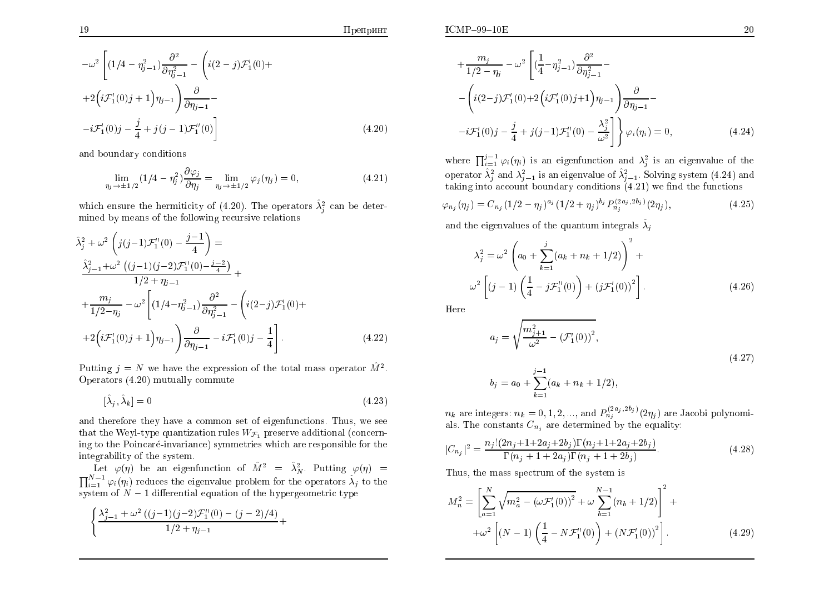Препринт

$$
-\omega^{2}\left[(1/4-\eta_{j-1}^{2})\frac{\partial^{2}}{\partial \eta_{j-1}^{2}} - \left(i(2-j)\mathcal{F}_{1}'(0) ++2\left(i\mathcal{F}_{1}'(0)j+1\right)\eta_{j-1}\right)\frac{\partial}{\partial \eta_{j-1}} --i\mathcal{F}_{1}'(0)j - \frac{j}{4} + j(j-1)\mathcal{F}_{1}''(0)\right]
$$
\n(4.20)

and boundary conditions

$$
\lim_{\eta_j \to \pm 1/2} (1/4 - \eta_j^2) \frac{\partial \varphi_j}{\partial \eta_j} = \lim_{\eta_j \to \pm 1/2} \varphi_j(\eta_j) = 0,
$$
\n(4.21)

which ensure the hermiticity of (4.20). The operators  $\hat{\lambda}_i^2$  can be determined by means of the following recursive relations

$$
\hat{\lambda}_{j}^{2} + \omega^{2} \left( j(j-1) \mathcal{F}_{1}^{"}(0) - \frac{j-1}{4} \right) =
$$
\n
$$
\frac{\hat{\lambda}_{j-1}^{2} + \omega^{2} \left( (j-1)(j-2) \mathcal{F}_{1}^{"}(0) - \frac{j-2}{4} \right)}{1/2 + \eta_{j-1}} +
$$
\n
$$
+ \frac{m_{j}}{1/2 - \eta_{j}} - \omega^{2} \left[ (1/4 - \eta_{j-1}^{2}) \frac{\partial^{2}}{\partial \eta_{j-1}^{2}} - \left( i(2-j) \mathcal{F}_{1}^{'}(0) + \frac{\partial^{2}}{\partial \eta_{j-1}^{2}} \right) \left( i(2-j) \mathcal{F}_{1}^{'}(0) + \frac{\partial^{2}}{\partial \eta_{j-1}^{2}} \right) \right].
$$
\n
$$
(4.22)
$$

Putting  $j = N$  we have the expression of the total mass operator  $\hat{M}^2$ . Operators  $(4.20)$  mutually commute

$$
[\hat{\lambda}_j, \hat{\lambda}_k] = 0 \tag{4.23}
$$

and therefore they have a common set of eigenfunctions. Thus, we see that the Weyl-type quantization rules  $W_{\mathcal{F}_1}$  preserve additional (concerning to the Poincaré-invariance) symmetries which are responsible for the integrability of the system.

Let  $\varphi(\eta)$  be an eigenfunction of  $\hat{M}^2 = \hat{\lambda}_N^2$ . Putting  $\varphi(\eta) =$  $\prod_{i=1}^{N-1} \varphi_i(\eta_i)$  reduces the eigenvalue problem for the operators  $\hat{\lambda}_j$  to the system of  $N-1$  differential equation of the hypergeometric type

$$
\left(\frac{\lambda_{j-1}^2 + \omega^2 ((j-1)(j-2)\mathcal{F}_1''(0) - (j-2)/4)}{1/2 + \eta_{j-1}} + \right)
$$

$$
+\frac{m_j}{1/2-\eta_j} - \omega^2 \left[ (\frac{1}{4} - \eta_{j-1}^2) \frac{\partial^2}{\partial \eta_{j-1}^2} - \right]
$$
  
 
$$
-\left( i(2-j)\mathcal{F}_1'(0) + 2\left( i\mathcal{F}_1'(0)j + 1 \right)\eta_{j-1} \right) \frac{\partial}{\partial \eta_{j-1}} - \right]
$$
  
 
$$
-i\mathcal{F}_1'(0)j - \frac{j}{4} + j(j-1)\mathcal{F}_1''(0) - \frac{\lambda_j^2}{\omega^2} \right] \varphi_i(\eta_i) = 0,
$$
 (4.24)

where  $\prod_{i=1}^{j-1} \varphi_i(\eta_i)$  is an eigenfunction and  $\lambda_i^2$  is an eigenvalue of the operator  $\hat{\lambda}_i^2$  and  $\lambda_{i-1}^2$  is an eigenvalue of  $\hat{\lambda}_{i-1}^2$ . Solving system (4.24) and taking into account boundary conditions  $(4.21)$  we find the functions

$$
\varphi_{n_j}(\eta_j) = C_{n_j} (1/2 - \eta_j)^{a_j} (1/2 + \eta_j)^{b_j} P_{n_j}^{(2a_j, 2b_j)}(2\eta_j), \tag{4.25}
$$

and the eigenvalues of the quantum integrals  $\hat{\lambda}_i$ 

$$
\lambda_j^2 = \omega^2 \left( a_0 + \sum_{k=1}^j (a_k + n_k + 1/2) \right)^2 +
$$
  

$$
\omega^2 \left[ (j-1) \left( \frac{1}{4} - j \mathcal{F}_1''(0) \right) + (j \mathcal{F}_1'(0))^2 \right].
$$
 (4.26)

Here

$$
a_j = \sqrt{\frac{m_{j+1}^2}{\omega^2} - \left(\mathcal{F}_1'(0)\right)^2},
$$
  
\n
$$
b_j = a_0 + \sum_{k=1}^{j-1} (a_k + n_k + 1/2),
$$
\n(4.27)

 $n_k$  are integers:  $n_k = 0, 1, 2, ...,$  and  $P_{n_j}^{(2a_j, 2b_j)}(2\eta_j)$  are Jacobi polynomials. The constants  $C_{n_j}$  are determined by the equality:

$$
|C_{n_j}|^2 = \frac{n_j!(2n_j+1+2a_j+2b_j)\Gamma(n_j+1+2a_j+2b_j)}{\Gamma(n_j+1+2a_j)\Gamma(n_j+1+2b_j)}.
$$
\n(4.28)

Thus, the mass spectrum of the system is

$$
M_n^2 = \left[ \sum_{a=1}^N \sqrt{m_a^2 - (\omega \mathcal{F}_1'(0))^2} + \omega \sum_{b=1}^{N-1} (n_b + 1/2) \right]^2 +
$$
  
+
$$
\omega^2 \left[ (N-1) \left( \frac{1}{4} - N \mathcal{F}_1''(0) \right) + (N \mathcal{F}_1'(0))^2 \right].
$$
 (4.29)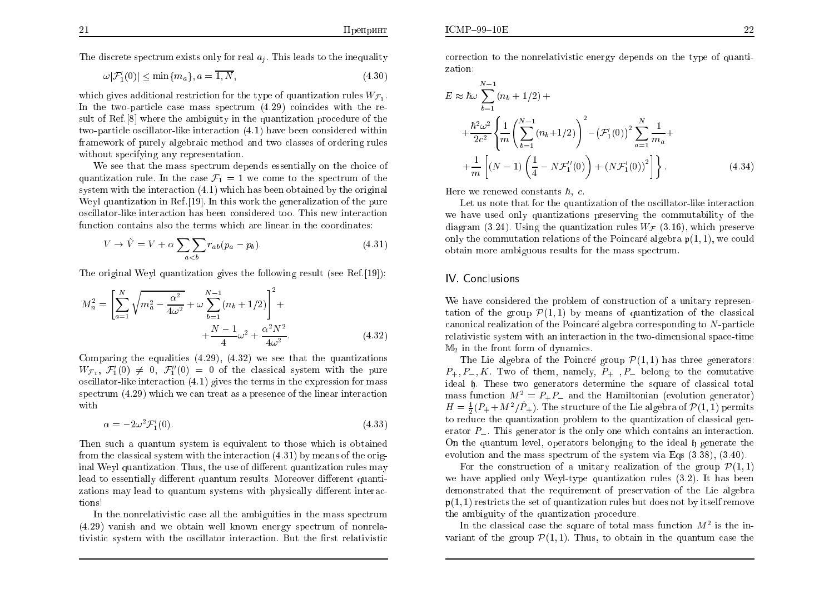The discrete spectrum exists only for real  $a_i$ . This leads to the inequality

$$
\omega|\mathcal{F}'_1(0)| \le \min\{m_a\}, a = \overline{1, N},\tag{4.30}
$$

which gives additional restriction for the type of quantization rules  $W_{\mathcal{F}_1}$ . In the two-particle case mass spectrum  $(4.29)$  coincides with the result of Ref. [8] where the ambiguity in the quantization procedure of the two-particle oscillator-like interaction (4.1) have been considered within framework of purely algebraic method and two classes of ordering rules without specifying any representation.

We see that the mass spectrum depends essentially on the choice of quantization rule. In the case  $\mathcal{F}_1 = 1$  we come to the spectrum of the system with the interaction  $(4.1)$  which has been obtained by the original Weyl quantization in Ref. [19]. In this work the generalization of the pure oscillator-like interaction has been considered too. This new interaction function contains also the terms which are linear in the coordinates:

$$
V \to \tilde{V} = V + \alpha \sum_{a < b} \sum_{a \in b} r_{ab} (p_a - p_b). \tag{4.31}
$$

The original Weyl quantization gives the following result (see Ref. [19]):

$$
M_n^2 = \left[\sum_{a=1}^N \sqrt{m_a^2 - \frac{\alpha^2}{4\omega^2}} + \omega \sum_{b=1}^{N-1} (n_b + 1/2)\right]^2 +
$$
  
 
$$
+ \frac{N-1}{4}\omega^2 + \frac{\alpha^2 N^2}{4\omega^2}.
$$
 (4.32)

Comparing the equalities  $(4.29)$ ,  $(4.32)$  we see that the quantizations  $W_{\mathcal{F}_1}, \mathcal{F}'_1(0) \neq 0, \mathcal{F}''_1(0) = 0$  of the classical system with the pure oscillator-like interaction  $(4.1)$  gives the terms in the expression for mass spectrum  $(4.29)$  which we can treat as a presence of the linear interaction with

$$
\alpha = -2\omega^2 \mathcal{F}_1'(0). \tag{4.33}
$$

Then such a quantum system is equivalent to those which is obtained from the classical system with the interaction  $(4.31)$  by means of the original Weyl quantization. Thus, the use of different quantization rules may lead to essentially different quantum results. Moreover different quantizations may lead to quantum systems with physically different interactions!

In the nonrelativistic case all the ambiguities in the mass spectrum  $(4.29)$  vanish and we obtain well known energy spectrum of nonrelativistic system with the oscillator interaction. But the first relativistic

correction to the nonrelativistic energy depends on the type of quantization:

$$
E \approx \hbar \omega \sum_{b=1}^{N-1} (n_b + 1/2) +
$$
  
+ 
$$
\frac{\hbar^2 \omega^2}{2c^2} \left\{ \frac{1}{m} \left( \sum_{b=1}^{N-1} (n_b + 1/2) \right)^2 - \left( \mathcal{F}_1'(0) \right)^2 \sum_{a=1}^{N} \frac{1}{m_a} + \frac{1}{m} \left[ (N-1) \left( \frac{1}{4} - N \mathcal{F}_1''(0) \right) + \left( N \mathcal{F}_1'(0) \right)^2 \right] \right\}.
$$
 (4.34)

Here we renewed constants  $\hbar$ , c.

Let us note that for the quantization of the oscillator-like interaction we have used only quantizations preserving the commutability of the diagram (3.24). Using the quantization rules  $W_F$  (3.16), which preserve only the commutation relations of the Poincaré algebra  $\mathfrak{p}(1,1)$ , we could obtain more ambiguous results for the mass spectrum.

#### IV Conclusions

We have considered the problem of construction of a unitary representation of the group  $\mathcal{P}(1,1)$  by means of quantization of the classical canonical realization of the Poincaré algebra corresponding to N-particle relativistic system with an interaction in the two-dimensional space-time  $M_2$  in the front form of dynamics.

The Lie algebra of the Poincré group  $\mathcal{P}(1,1)$  has three generators:  $P_+, P_-, K$ . Two of them, namely,  $P_+$ ,  $P_-$  belong to the comutative ideal h. These two generators determine the square of classical total mass function  $M^2 = P_+ P_-$  and the Hamiltonian (evolution generator)  $H = \frac{1}{2}(P_+ + M^2/\hat{P}_+)$ . The structure of the Lie algebra of  $\mathcal{P}(1,1)$  permits to reduce the quantization problem to the quantization of classical generator  $P_{-}$ . This generator is the only one which contains an interaction. On the quantum level, operators belonging to the ideal h generate the evolution and the mass spectrum of the system via Eqs  $(3.38)$ ,  $(3.40)$ .

For the construction of a unitary realization of the group  $\mathcal{P}(1,1)$ we have applied only Weyl-type quantization rules  $(3.2)$ . It has been demonstrated that the requirement of preservation of the Lie algebra  $\mathfrak{p}(1,1)$  restricts the set of quantization rules but does not by itself remove the ambiguity of the quantization procedure.

In the classical case the square of total mass function  $M^2$  is the invariant of the group  $\mathcal{P}(1,1)$ . Thus, to obtain in the quantum case the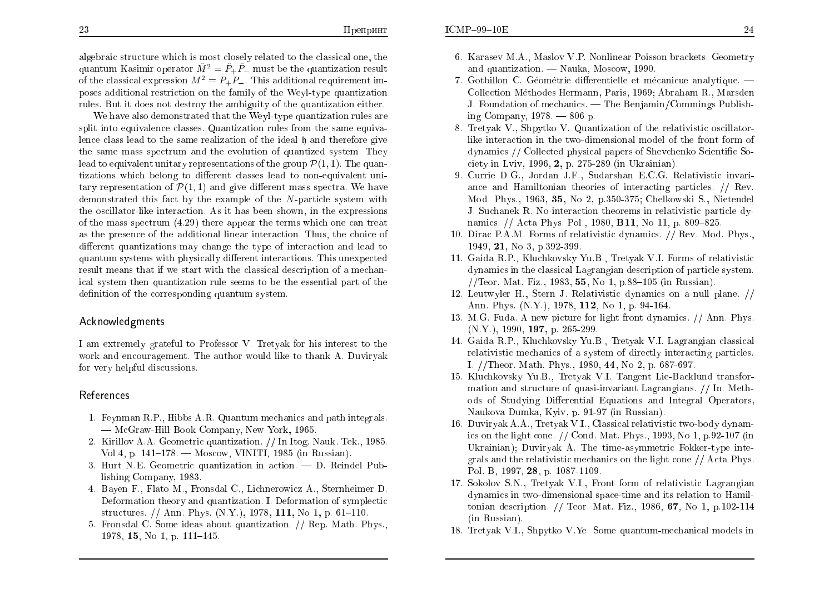algebraic structure which is most closely related to the classical one, the quantum Kasimir operator  $\hat{M}^2 = \hat{P}_+ \hat{P}_-$  must be the quantization result of the classical expression  $M^2 = P_+ P_-$ . This additional requirement imposes additional restriction on the family of the Weyl-type quantization rules. But it does not destroy the ambiguity of the quantization either.

We have also demonstrated that the Weyl-type quantization rules are split into equivalence classes. Quantization rules from the same equivalence class lead to the same realization of the ideal h and therefore give the same mass spectrum and the evolution of quantized system. They lead to equivalent unitary representations of the group  $\mathcal{P}(1,1)$ . The quantizations which belong to different classes lead to non-equivalent unitary representation of  $\mathcal{P}(1,1)$  and give different mass spectra. We have demonstrated this fact by the example of the N-particle system with the oscillator-like interaction. As it has been shown, in the expressions of the mass spectrum  $(4.29)$  there appear the terms which one can treat as the presence of the additional linear interaction. Thus, the choice of different quantizations may change the type of interaction and lead to quantum systems with physically different interactions. This unexpected result means that if we start with the classical description of a mechanical system then quantization rule seems to be the essential part of the definition of the corresponding quantum system.

#### Acknowledgments

I am extremely grateful to Professor V. Tretyak for his interest to the work and encouragement. The author would like to thank A. Duviryak for very helpful discussions.

#### References

- 1. Feynman R.P., Hibbs A.R. Quantum mechanics and path integrals. - McGraw-Hill Book Company, New York, 1965.
- 2. Kirillov A.A. Geometric quantization. // In Itog. Nauk. Tek., 1985. Vol.4, p.  $141-178$ . - Moscow, VINITI, 1985 (in Russian).
- 3. Hurt N.E. Geometric quantization in action.  $-$  D. Reindel Publishing Company, 1983.
- 4. Bayen F., Flato M., Fronsdal C., Lichnerowicz A., Sternheimer D. Deformation theory and quantization. I. Deformation of symplectic structures. // Ann. Phys.  $(N.Y.)$ , 1978, 111, No 1, p. 61–110.
- 5. Fronsdal C. Some ideas about quantization. // Rep. Math. Phys., 1978, 15, No 1, p.  $111-145$ .
- 6. Karasev M.A., Maslov V.P. Nonlinear Poisson brackets. Geometry and quantization. - Nauka, Moscow, 1990.
- 7. Gotbillon C. Géométrie differentielle et mécanique analytique. Collection Méthodes Hermann, Paris, 1969; Abraham R., Marsden J. Foundation of mechanics.  $\sim$  The Benjamin/Commings Publishing Company, 1978.  $-806$  p.
- 8. Tretyak V., Shpytko V. Quantization of the relativistic oscillatorlike interaction in the two-dimensional model of the front form of dynamics // Collected physical papers of Shevchenko Scientific Society in Lviv, 1996, 2, p. 275-289 (in Ukrainian).
- 9. Currie D.G., Jordan J.F., Sudarshan E.C.G. Relativistic invariance and Hamiltonian theories of interacting particles. // Rev. Mod. Phys., 1963, 35, No 2, p.350-375; Chelkowski S., Nietendel J. Suchanek R. No-interaction theorems in relativistic particle dynamics. // Acta Phys. Pol., 1980, **B11**, No 11, p. 809–825.
- 10. Dirac P.A.M. Forms of relativistic dynamics. // Rev. Mod. Phys.. 1949. 21. No 3. p.392-399.
- 11. Gaida R.P., Kluchkovsky Yu.B., Tretvak V.I. Forms of relativistic dynamics in the classical Lagrangian description of particle system. //Teor. Mat. Fiz., 1983, 55, No 1, p.88–105 (in Russian).
- 12. Leutwyler H., Stern J. Relativistic dynamics on a null plane. // Ann. Phys. (N.Y.), 1978, 112, No 1, p. 94-164.
- 13. M.G. Fuda. A new picture for light front dynamics. // Ann. Phys.  $(N.Y.)$ , 1990, 197, p. 265-299.
- 14. Gaida R.P., Kluchkovsky Yu.B., Tretyak V.I. Lagrangian classical relativistic mechanics of a system of directly interacting particles. I. //Theor. Math. Phys., 1980, 44, No 2, p. 687-697.
- 15. Kluchkovsky Yu.B., Tretyak V.I. Tangent Lie-Backlund transformation and structure of quasi-invariant Lagrangians. // In: Methods of Studying Differential Equations and Integral Operators. Naukova Dumka, Kyiv, p. 91-97 (in Russian).
- 16. Duviryak A.A., Tretyak V.I., Classical relativistic two-body dynamics on the light cone.  $//$  Cond. Mat. Phys., 1993, No 1, p.92-107 (in Ukrainian); Duviryak A. The time-asymmetric Fokker-type integrals and the relativistic mechanics on the light cone  $//$  Acta Phys. Pol. B, 1997, 28, p. 1087-1109.
- 17. Sokolov S.N., Tretyak V.I., Front form of relativistic Lagrangian dynamics in two-dimensional space-time and its relation to Hamiltonian description.  $//$  Teor. Mat. Fiz., 1986, 67, No 1, p.102-114 (in Russian).
- 18. Tretyak V.I., Shpytko V.Ye. Some quantum-mechanical models in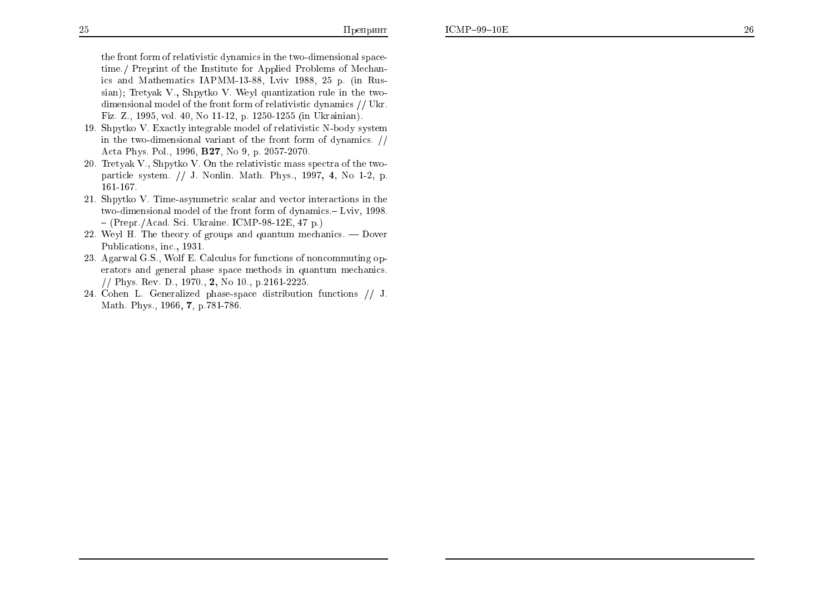the front form of relativistic dynamics in the two-dimensional spacetime./ Preprint of the Institute for Applied Problems of Mechanics and Mathematics IAPMM-13-88, Lviv 1988, 25 p. (in Russian); Tretyak V., Shpytko V. Weyl quantization rule in the twodimensional model of the front form of relativistic dynamics // Ukr. Fiz. Z., 1995, vol. 40, No 11-12, p. 1250-1255 (in Ukrainian).

- 19. Shpytko V. Exactly integrable model of relativistic N-body system in the two-dimensional variant of the front form of dynamics.  $//$ Acta Phys. Pol., 1996, B27, No 9, p. 2057-2070.
- 20. Tretyak V., Shpytko V. On the relativistic mass spectra of the twoparticle system. // J. Nonlin. Math. Phys., 1997, 4, No 1-2, p. 161-167.
- 21. Shpytko V. Time-asymmetric scalar and vector interactions in the two-dimensional model of the front form of dynamics.- Lviv, 1998.  $-(Prepr./Acad. Sci. Ukraine. ICMP-98-12E, 47 p.)$
- 22. Weyl H. The theory of groups and quantum mechanics.  $-$  Dover Publications, inc., 1931.
- 23. Agarwal G.S., Wolf E. Calculus for functions of noncommuting operators and general phase space methods in quantum mechanics. // Phys. Rev. D., 1970., 2, No 10., p.2161-2225.
- 24. Cohen L. Generalized phase-space distribution functions // J. Math. Phys., 1966, 7, p.781-786.